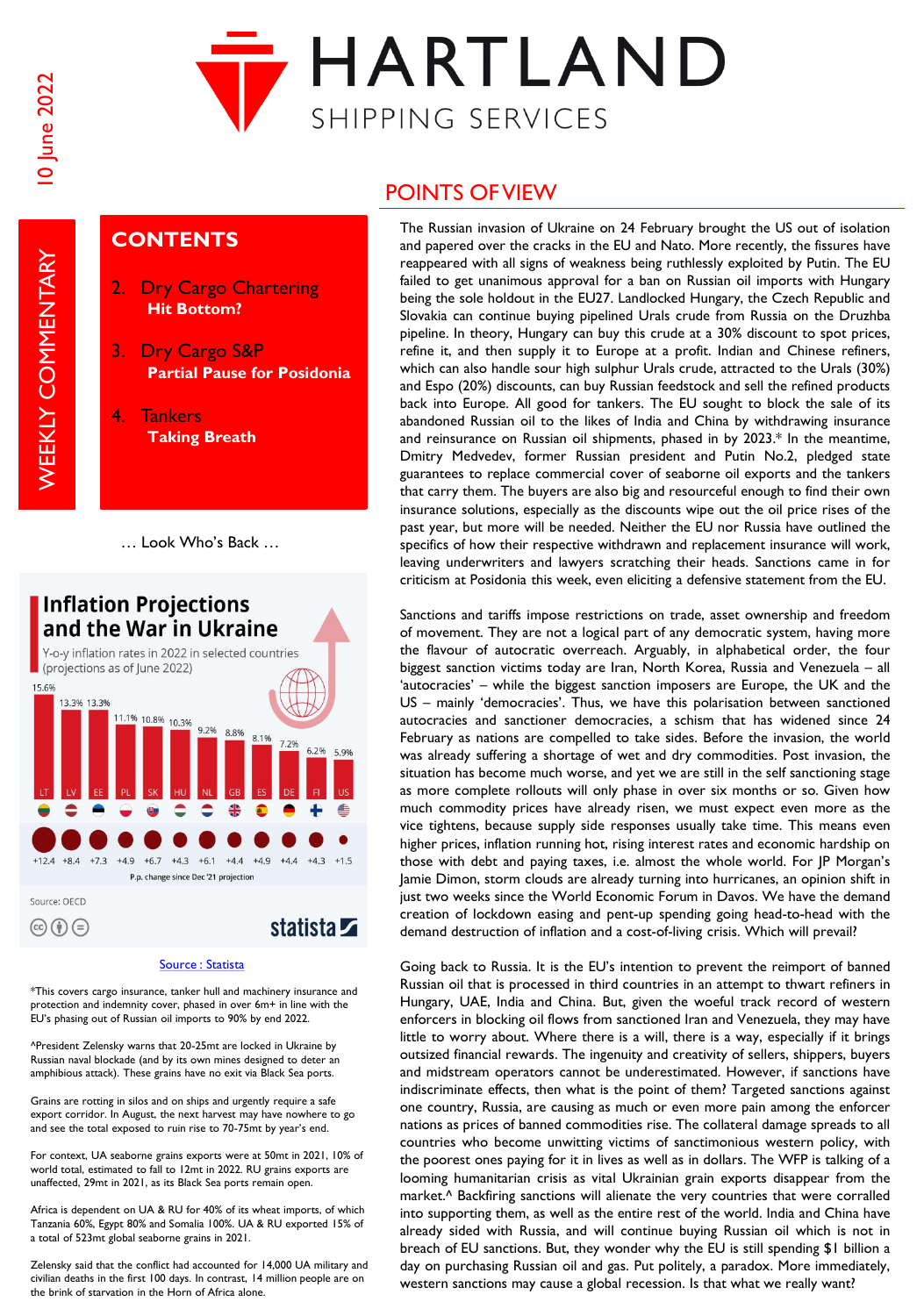**WEEKLY COMMENTARY** 



## **CONTENTS**

- 2. Dry Cargo Chartering **Hit Bottom?**
- 3. Dry Cargo S&P **Partial Pause for Posidonia**
- 4. Tankers **Taking Breath**

<sup>…</sup> Look Who's Back …



#### [Source : Statista](https://www.statista.com/)

\*This covers cargo insurance, tanker hull and machinery insurance and protection and indemnity cover, phased in over 6m+ in line with the EU's phasing out of Russian oil imports to 90% by end 2022.

^President Zelensky warns that 20-25mt are locked in Ukraine by Russian naval blockade (and by its own mines designed to deter an amphibious attack). These grains have no exit via Black Sea ports.

Grains are rotting in silos and on ships and urgently require a safe export corridor. In August, the next harvest may have nowhere to go and see the total exposed to ruin rise to 70-75mt by year's end.

For context, UA seaborne grains exports were at 50mt in 2021, 10% of world total, estimated to fall to 12mt in 2022. RU grains exports are unaffected, 29mt in 2021, as its Black Sea ports remain open.

Africa is dependent on UA & RU for 40% of its wheat imports, of which Tanzania 60%, Egypt 80% and Somalia 100%. UA & RU exported 15% of a total of 523mt global seaborne grains in 2021.

Zelensky said that the conflict had accounted for 14,000 UA military and civilian deaths in the first 100 days. In contrast, 14 million people are on the brink of starvation in the Horn of Africa alone.

# POINTS OF VIEW

The Russian invasion of Ukraine on 24 February brought the US out of isolation and papered over the cracks in the EU and Nato. More recently, the fissures have reappeared with all signs of weakness being ruthlessly exploited by Putin. The EU failed to get unanimous approval for a ban on Russian oil imports with Hungary being the sole holdout in the EU27. Landlocked Hungary, the Czech Republic and Slovakia can continue buying pipelined Urals crude from Russia on the Druzhba pipeline. In theory, Hungary can buy this crude at a 30% discount to spot prices, refine it, and then supply it to Europe at a profit. Indian and Chinese refiners, which can also handle sour high sulphur Urals crude, attracted to the Urals (30%) and Espo (20%) discounts, can buy Russian feedstock and sell the refined products back into Europe. All good for tankers. The EU sought to block the sale of its abandoned Russian oil to the likes of India and China by withdrawing insurance and reinsurance on Russian oil shipments, phased in by 2023.\* In the meantime, Dmitry Medvedev, former Russian president and Putin No.2, pledged state guarantees to replace commercial cover of seaborne oil exports and the tankers that carry them. The buyers are also big and resourceful enough to find their own insurance solutions, especially as the discounts wipe out the oil price rises of the past year, but more will be needed. Neither the EU nor Russia have outlined the specifics of how their respective withdrawn and replacement insurance will work, leaving underwriters and lawyers scratching their heads. Sanctions came in for criticism at Posidonia this week, even eliciting a defensive statement from the EU.

Sanctions and tariffs impose restrictions on trade, asset ownership and freedom of movement. They are not a logical part of any democratic system, having more the flavour of autocratic overreach. Arguably, in alphabetical order, the four biggest sanction victims today are Iran, North Korea, Russia and Venezuela – all 'autocracies' – while the biggest sanction imposers are Europe, the UK and the US – mainly 'democracies'. Thus, we have this polarisation between sanctioned autocracies and sanctioner democracies, a schism that has widened since 24 February as nations are compelled to take sides. Before the invasion, the world was already suffering a shortage of wet and dry commodities. Post invasion, the situation has become much worse, and yet we are still in the self sanctioning stage as more complete rollouts will only phase in over six months or so. Given how much commodity prices have already risen, we must expect even more as the vice tightens, because supply side responses usually take time. This means even higher prices, inflation running hot, rising interest rates and economic hardship on those with debt and paying taxes, i.e. almost the whole world. For JP Morgan's Jamie Dimon, storm clouds are already turning into hurricanes, an opinion shift in just two weeks since the World Economic Forum in Davos. We have the demand creation of lockdown easing and pent-up spending going head-to-head with the demand destruction of inflation and a cost-of-living crisis. Which will prevail?

Going back to Russia. It is the EU's intention to prevent the reimport of banned Russian oil that is processed in third countries in an attempt to thwart refiners in Hungary, UAE, India and China. But, given the woeful track record of western enforcers in blocking oil flows from sanctioned Iran and Venezuela, they may have little to worry about. Where there is a will, there is a way, especially if it brings outsized financial rewards. The ingenuity and creativity of sellers, shippers, buyers and midstream operators cannot be underestimated. However, if sanctions have indiscriminate effects, then what is the point of them? Targeted sanctions against one country, Russia, are causing as much or even more pain among the enforcer nations as prices of banned commodities rise. The collateral damage spreads to all countries who become unwitting victims of sanctimonious western policy, with the poorest ones paying for it in lives as well as in dollars. The WFP is talking of a looming humanitarian crisis as vital Ukrainian grain exports disappear from the market.^ Backfiring sanctions will alienate the very countries that were corralled into supporting them, as well as the entire rest of the world. India and China have already sided with Russia, and will continue buying Russian oil which is not in breach of EU sanctions. But, they wonder why the EU is still spending \$1 billion a day on purchasing Russian oil and gas. Put politely, a paradox. More immediately, western sanctions may cause a global recession. Is that what we really want?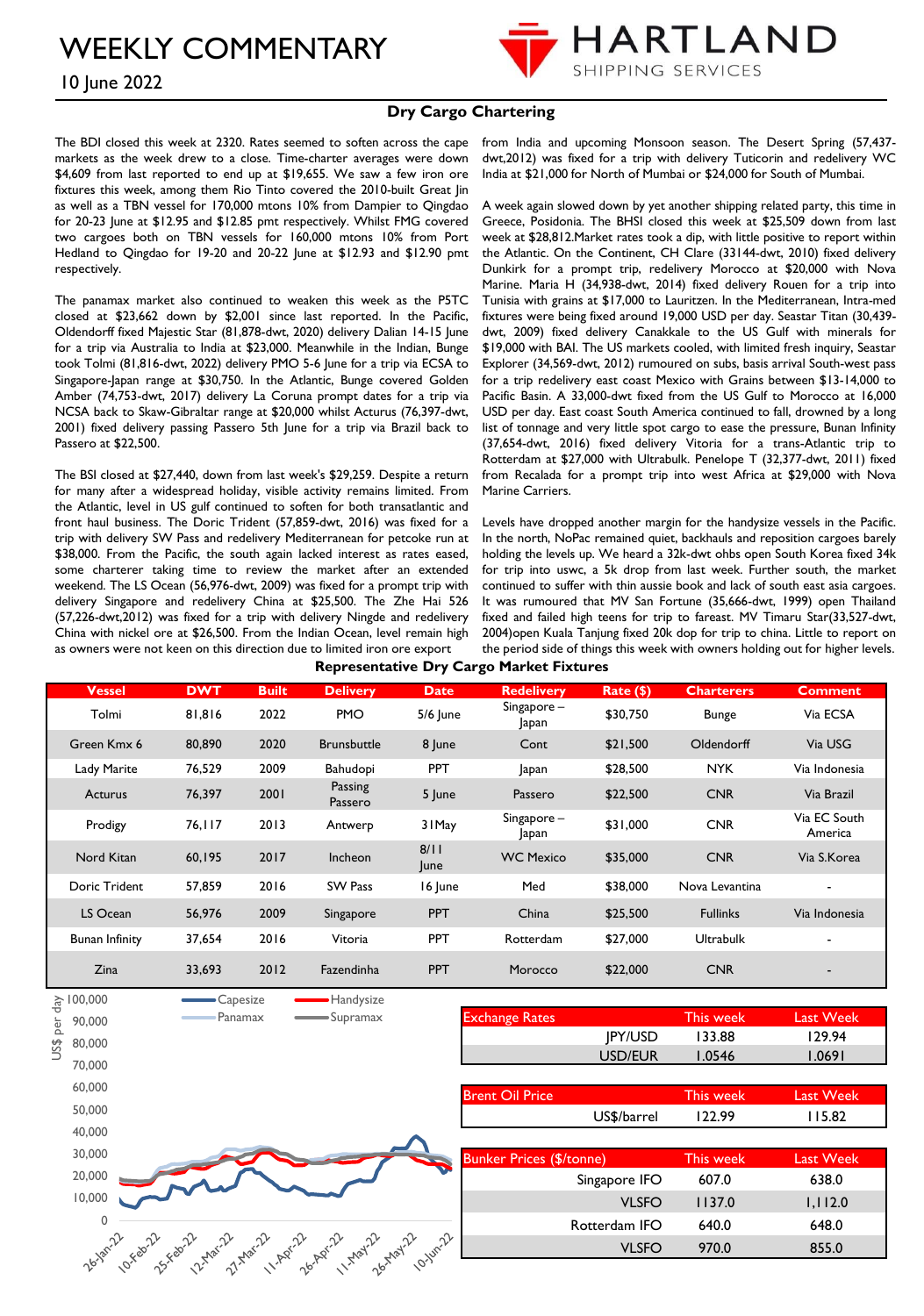10 June 2022



#### **Dry Cargo Chartering**

The BDI closed this week at 2320. Rates seemed to soften across the cape markets as the week drew to a close. Time-charter averages were down \$4,609 from last reported to end up at \$19,655. We saw a few iron ore fixtures this week, among them Rio Tinto covered the 2010-built Great Jin as well as a TBN vessel for 170,000 mtons 10% from Dampier to Qingdao for 20-23 June at \$12.95 and \$12.85 pmt respectively. Whilst FMG covered two cargoes both on TBN vessels for 160,000 mtons 10% from Port Hedland to Qingdao for 19-20 and 20-22 June at \$12.93 and \$12.90 pmt respectively.

The panamax market also continued to weaken this week as the P5TC closed at \$23,662 down by \$2,001 since last reported. In the Pacific, Oldendorff fixed Majestic Star (81,878-dwt, 2020) delivery Dalian 14-15 June for a trip via Australia to India at \$23,000. Meanwhile in the Indian, Bunge took Tolmi (81,816-dwt, 2022) delivery PMO 5-6 June for a trip via ECSA to Singapore-Japan range at \$30,750. In the Atlantic, Bunge covered Golden Amber (74,753-dwt, 2017) delivery La Coruna prompt dates for a trip via NCSA back to Skaw-Gibraltar range at \$20,000 whilst Acturus (76,397-dwt, 2001) fixed delivery passing Passero 5th June for a trip via Brazil back to Passero at \$22,500.

The BSI closed at \$27,440, down from last week's \$29,259. Despite a return for many after a widespread holiday, visible activity remains limited. From the Atlantic, level in US gulf continued to soften for both transatlantic and front haul business. The Doric Trident (57,859-dwt, 2016) was fixed for a trip with delivery SW Pass and redelivery Mediterranean for petcoke run at \$38,000. From the Pacific, the south again lacked interest as rates eased, some charterer taking time to review the market after an extended weekend. The LS Ocean (56,976-dwt, 2009) was fixed for a prompt trip with delivery Singapore and redelivery China at \$25,500. The Zhe Hai 526 (57,226-dwt,2012) was fixed for a trip with delivery Ningde and redelivery China with nickel ore at \$26,500. From the Indian Ocean, level remain high as owners were not keen on this direction due to limited iron ore export

from India and upcoming Monsoon season. The Desert Spring (57,437 dwt,2012) was fixed for a trip with delivery Tuticorin and redelivery WC India at \$21,000 for North of Mumbai or \$24,000 for South of Mumbai.

A week again slowed down by yet another shipping related party, this time in Greece, Posidonia. The BHSI closed this week at \$25,509 down from last week at \$28,812.Market rates took a dip, with little positive to report within the Atlantic. On the Continent, CH Clare (33144-dwt, 2010) fixed delivery Dunkirk for a prompt trip, redelivery Morocco at \$20,000 with Nova Marine. Maria H (34,938-dwt, 2014) fixed delivery Rouen for a trip into Tunisia with grains at \$17,000 to Lauritzen. In the Mediterranean, Intra-med fixtures were being fixed around 19,000 USD per day. Seastar Titan (30,439 dwt, 2009) fixed delivery Canakkale to the US Gulf with minerals for \$19,000 with BAI. The US markets cooled, with limited fresh inquiry, Seastar Explorer (34,569-dwt, 2012) rumoured on subs, basis arrival South-west pass for a trip redelivery east coast Mexico with Grains between \$13-14,000 to Pacific Basin. A 33,000-dwt fixed from the US Gulf to Morocco at 16,000 USD per day. East coast South America continued to fall, drowned by a long list of tonnage and very little spot cargo to ease the pressure, Bunan Infinity (37,654-dwt, 2016) fixed delivery Vitoria for a trans-Atlantic trip to Rotterdam at \$27,000 with Ultrabulk. Penelope T (32,377-dwt, 2011) fixed from Recalada for a prompt trip into west Africa at \$29,000 with Nova Marine Carriers.

Levels have dropped another margin for the handysize vessels in the Pacific. In the north, NoPac remained quiet, backhauls and reposition cargoes barely holding the levels up. We heard a 32k-dwt ohbs open South Korea fixed 34k for trip into uswc, a 5k drop from last week. Further south, the market continued to suffer with thin aussie book and lack of south east asia cargoes. It was rumoured that MV San Fortune (35,666-dwt, 1999) open Thailand fixed and failed high teens for trip to fareast. MV Timaru Star(33,527-dwt, 2004)open Kuala Tanjung fixed 20k dop for trip to china. Little to report on the period side of things this week with owners holding out for higher levels.

| <b>Representative Dry Cargo Market Fixtures</b> |  |  |  |
|-------------------------------------------------|--|--|--|
|-------------------------------------------------|--|--|--|

| <b>Vessel</b>  | <b>DWT</b> | <b>Built</b> | <b>Delivery</b>           | <b>Date</b>  | <b>Redelivery</b>    | Rate (\$) | <b>Charterers</b> | <b>Comment</b>           |
|----------------|------------|--------------|---------------------------|--------------|----------------------|-----------|-------------------|--------------------------|
| Tolmi          | 81,816     | 2022         | <b>PMO</b>                | $5/6$ June   | Singapore –<br>Japan | \$30,750  | <b>Bunge</b>      | Via ECSA                 |
| Green Kmx 6    | 80,890     | 2020         | <b>Brunsbuttle</b>        | 8 June       | Cont                 | \$21,500  | Oldendorff        | Via USG                  |
| Lady Marite    | 76,529     | 2009         | Bahudopi                  | <b>PPT</b>   | Japan                | \$28,500  | <b>NYK</b>        | Via Indonesia            |
| <b>Acturus</b> | 76,397     | 2001         | <b>Passing</b><br>Passero | 5 June       | Passero              | \$22,500  | <b>CNR</b>        | Via Brazil               |
| Prodigy        | 76,117     | 2013         | Antwerp                   | 31 May       | Singapore-<br>apan   | \$31,000  | <b>CNR</b>        | Via EC South<br>America  |
| Nord Kitan     | 60,195     | 2017         | Incheon                   | 8/11<br>lune | <b>WC Mexico</b>     | \$35,000  | <b>CNR</b>        | Via S.Korea              |
| Doric Trident  | 57,859     | 2016         | SW Pass                   | 16 June      | Med                  | \$38,000  | Nova Levantina    | ٠                        |
| LS Ocean       | 56,976     | 2009         | Singapore                 | <b>PPT</b>   | China                | \$25,500  | <b>Fullinks</b>   | Via Indonesia            |
| Bunan Infinity | 37,654     | 2016         | Vitoria                   | <b>PPT</b>   | Rotterdam            | \$27,000  | <b>Ultrabulk</b>  | ٠                        |
| Zina           | 33,693     | 2012         | Fazendinha                | <b>PPT</b>   | Morocco              | \$22,000  | <b>CNR</b>        | $\overline{\phantom{a}}$ |

![](_page_1_Figure_11.jpeg)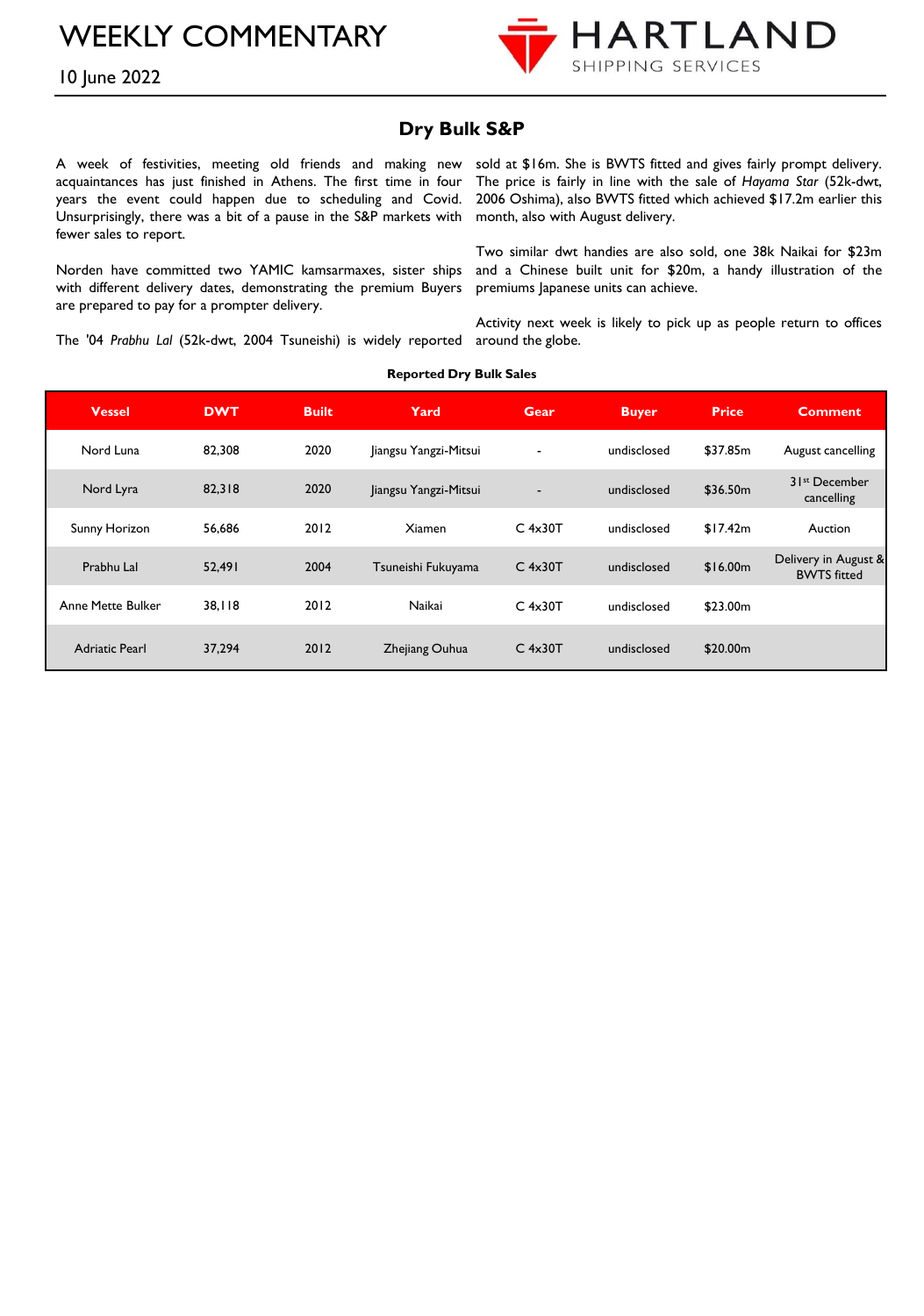![](_page_2_Picture_1.jpeg)

## 10 June 2022

### **Dry Bulk S&P**

A week of festivities, meeting old friends and making new acquaintances has just finished in Athens. The first time in four years the event could happen due to scheduling and Covid. Unsurprisingly, there was a bit of a pause in the S&P markets with month, also with August delivery. fewer sales to report.

Norden have committed two YAMIC kamsarmaxes, sister ships with different delivery dates, demonstrating the premium Buyers are prepared to pay for a prompter delivery.

sold at \$16m. She is BWTS fitted and gives fairly prompt delivery. The price is fairly in line with the sale of *Hayama Star* (52k-dwt, 2006 Oshima), also BWTS fitted which achieved \$17.2m earlier this

Two similar dwt handies are also sold, one 38k Naikai for \$23m and a Chinese built unit for \$20m, a handy illustration of the premiums Japanese units can achieve.

The '04 *Prabhu Lal* (52k-dwt, 2004 Tsuneishi) is widely reported around the globe. Activity next week is likely to pick up as people return to offices

| <b>Vessel</b>         | <b>DWT</b> | <b>Built</b> | Yard                  | Gear                     | <b>Buyer</b> | <b>Price</b> | <b>Comment</b>                             |
|-----------------------|------------|--------------|-----------------------|--------------------------|--------------|--------------|--------------------------------------------|
| Nord Luna             | 82,308     | 2020         | Jiangsu Yangzi-Mitsui | $\overline{\phantom{a}}$ | undisclosed  | \$37.85m     | August cancelling                          |
| Nord Lyra             | 82,318     | 2020         | Jiangsu Yangzi-Mitsui | $\overline{\phantom{a}}$ | undisclosed  | \$36.50m     | 3 Ist December<br>cancelling               |
| Sunny Horizon         | 56.686     | 2012         | <b>Xiamen</b>         | $C$ 4x30T                | undisclosed  | \$17.42m     | Auction                                    |
| Prabhu Lal            | 52,491     | 2004         | Tsuneishi Fukuyama    | $C$ 4x30T                | undisclosed  | \$16.00m     | Delivery in August &<br><b>BWTS</b> fitted |
| Anne Mette Bulker     | 38.118     | 2012         | Naikai                | $C$ 4x30T                | undisclosed  | \$23.00m     |                                            |
| <b>Adriatic Pearl</b> | 37.294     | 2012         | Zhejiang Ouhua        | $C$ 4x30T                | undisclosed  | \$20.00m     |                                            |

#### **Reported Dry Bulk Sales**